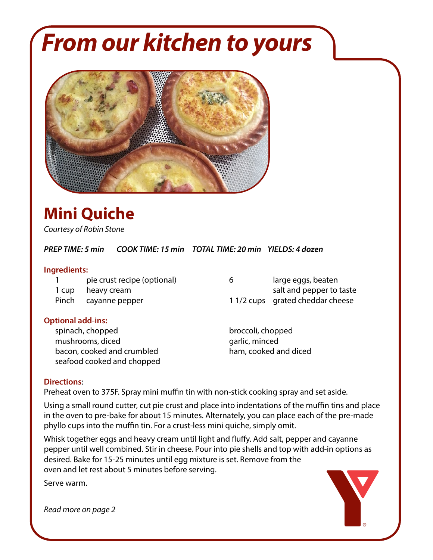# *From our kitchen to yours*



## **Mini Quiche**

*Courtesy of Robin Stone*

*PREP TIME: 5 min COOK TIME: 15 min TOTAL TIME: 20 min YIELDS: 4 dozen*

#### **Ingredients:**

1 pie crust recipe (optional) 6 large eggs, beaten

#### **Optional add-ins:**

spinach, chopped broccoli, chopped mushrooms, diced garlic, minced bacon, cooked and crumbled ham, cooked and diced seafood cooked and chopped

### 1 cup heavy cream salt and pepper to taste Pinch cayanne pepper 1 1/2 cups grated cheddar cheese

#### **Directions**:

Preheat oven to 375F. Spray mini muffin tin with non-stick cooking spray and set aside.

Using a small round cutter, cut pie crust and place into indentations of the muffin tins and place in the oven to pre-bake for about 15 minutes. Alternately, you can place each of the pre-made phyllo cups into the muffin tin. For a crust-less mini quiche, simply omit.

Whisk together eggs and heavy cream until light and fluffy. Add salt, pepper and cayanne pepper until well combined. Stir in cheese. Pour into pie shells and top with add-in options as desired. Bake for 15-25 minutes until egg mixture is set. Remove from the oven and let rest about 5 minutes before serving.

Serve warm.

*Read more on page 2*